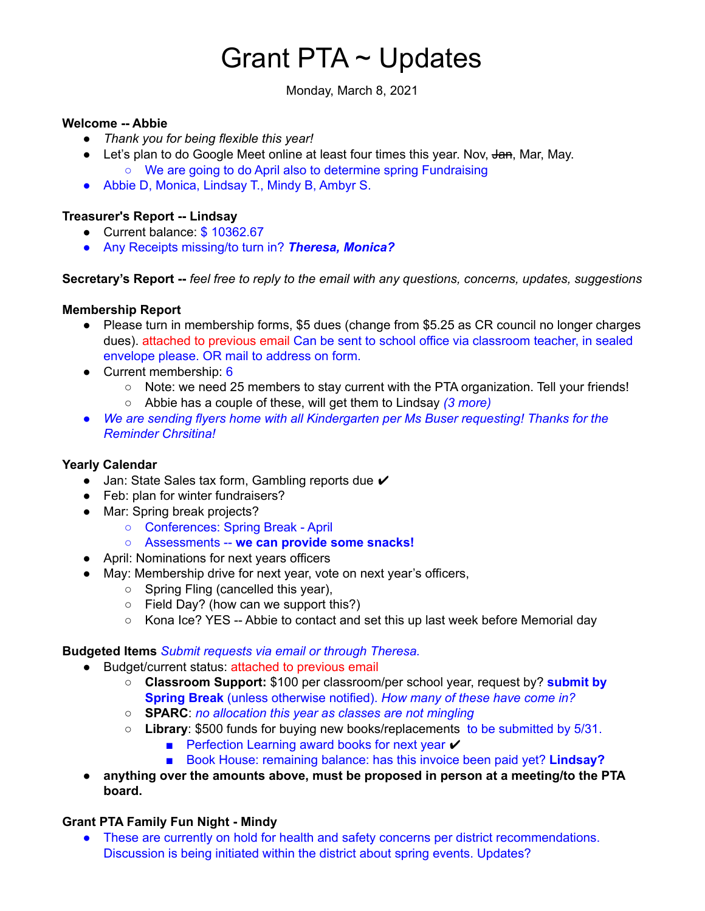# Grant PTA ~ Updates

Monday, March 8, 2021

#### **Welcome -- Abbie**

- *Thank you for being flexible this year!*
- Let's plan to do Google Meet online at least four times this year. Nov, Jan, Mar, May. ○ We are going to do April also to determine spring Fundraising
- Abbie D, Monica, Lindsay T., Mindy B, Ambyr S.

## **Treasurer's Report -- Lindsay**

- Current balance: \$10362.67
- Any Receipts missing/to turn in? *Theresa, Monica?*

**Secretary's Report --** *feel free to reply to the email with any questions, concerns, updates, suggestions*

## **Membership Report**

- Please turn in membership forms, \$5 dues (change from \$5.25 as CR council no longer charges dues). attached to previous email Can be sent to school office via classroom teacher, in sealed envelope please. OR mail to address on form.
- Current membership: 6
	- Note: we need 25 members to stay current with the PTA organization. Tell your friends!
	- Abbie has a couple of these, will get them to Lindsay *(3 more)*
- *● We are sending flyers home with all Kindergarten per Ms Buser requesting! Thanks for the Reminder Chrsitina!*

## **Yearly Calendar**

- Jan: State Sales tax form, Gambling reports due ✔
- Feb: plan for winter fundraisers?
- Mar: Spring break projects?
	- Conferences: Spring Break April
	- Assessments -- **we can provide some snacks!**
- April: Nominations for next years officers
- May: Membership drive for next year, vote on next year's officers,
	- Spring Fling (cancelled this year),
	- Field Day? (how can we support this?)
	- Kona Ice? YES -- Abbie to contact and set this up last week before Memorial day

## **Budgeted Items** *Submit requests via email or through Theresa.*

- Budget/current status: attached to previous email
	- **Classroom Support:** \$100 per classroom/per school year, request by? **submit by Spring Break** (unless otherwise notified). *How many of these have come in?*
	- **SPARC**: *no allocation this year as classes are not mingling*
	- **Library**: \$500 funds for buying new books/replacements to be submitted by 5/31.
		- Perfection Learning award books for next year  $\times$
		- Book House: remaining balance: has this invoice been paid yet? **Lindsay?**
- **anything over the amounts above, must be proposed in person at a meeting/to the PTA board.**

## **Grant PTA Family Fun Night - Mindy**

● These are currently on hold for health and safety concerns per district recommendations. Discussion is being initiated within the district about spring events. Updates?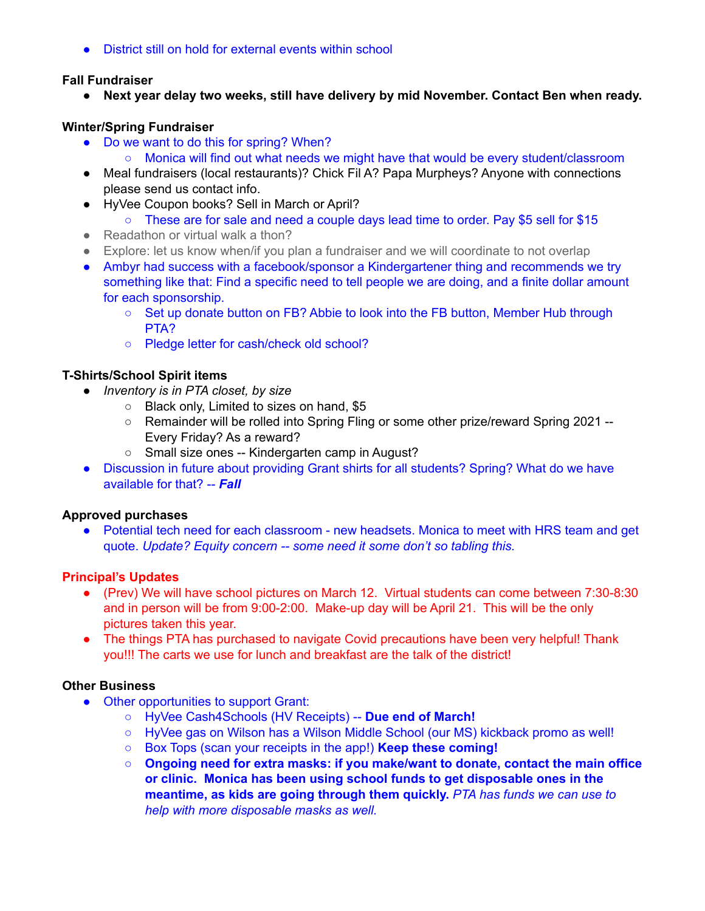● District still on hold for external events within school

# **Fall Fundraiser**

**● Next year delay two weeks, still have delivery by mid November. Contact Ben when ready.**

# **Winter/Spring Fundraiser**

- Do we want to do this for spring? When?
	- Monica will find out what needs we might have that would be every student/classroom
- Meal fundraisers (local restaurants)? Chick Fil A? Papa Murpheys? Anyone with connections please send us contact info.
- HyVee Coupon books? Sell in March or April?
	- These are for sale and need a couple days lead time to order. Pay \$5 sell for \$15
- Readathon or virtual walk a thon?
- Explore: let us know when/if you plan a fundraiser and we will coordinate to not overlap
- Ambyr had success with a facebook/sponsor a Kindergartener thing and recommends we try something like that: Find a specific need to tell people we are doing, and a finite dollar amount for each sponsorship.
	- Set up donate button on FB? Abbie to look into the FB button, Member Hub through PTA?
	- Pledge letter for cash/check old school?

# **T-Shirts/School Spirit items**

- *● Inventory is in PTA closet, by size*
	- Black only, Limited to sizes on hand, \$5
	- Remainder will be rolled into Spring Fling or some other prize/reward Spring 2021 -- Every Friday? As a reward?
	- Small size ones -- Kindergarten camp in August?
- Discussion in future about providing Grant shirts for all students? Spring? What do we have available for that? -- *Fall*

## **Approved purchases**

• Potential tech need for each classroom - new headsets. Monica to meet with HRS team and get quote. *Update? Equity concern -- some need it some don't so tabling this.*

## **Principal's Updates**

- (Prev) We will have school pictures on March 12. Virtual students can come between 7:30-8:30 and in person will be from 9:00-2:00. Make-up day will be April 21. This will be the only pictures taken this year.
- The things PTA has purchased to navigate Covid precautions have been very helpful! Thank you!!! The carts we use for lunch and breakfast are the talk of the district!

## **Other Business**

- Other opportunities to support Grant:
	- HyVee Cash4Schools (HV Receipts) -- **Due end of March!**
	- HyVee gas on Wilson has a Wilson Middle School (our MS) kickback promo as well!
	- Box Tops (scan your receipts in the app!) **Keep these coming!**
	- **○ Ongoing need for extra masks: if you make/want to donate, contact the main office or clinic. Monica has been using school funds to get disposable ones in the meantime, as kids are going through them quickly.** *PTA has funds we can use to help with more disposable masks as well.*